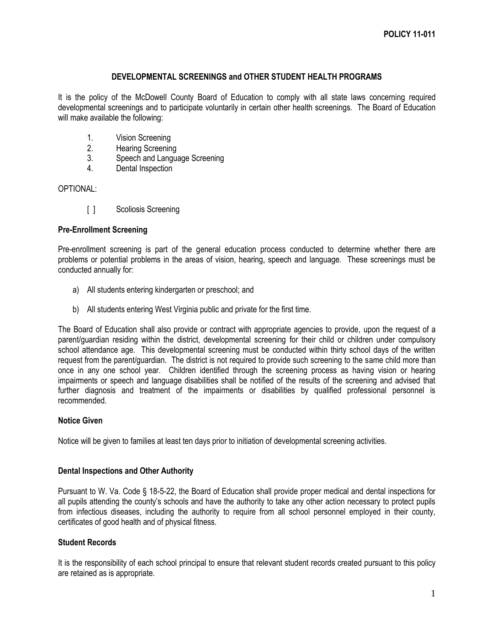## **DEVELOPMENTAL SCREENINGS and OTHER STUDENT HEALTH PROGRAMS**

It is the policy of the McDowell County Board of Education to comply with all state laws concerning required developmental screenings and to participate voluntarily in certain other health screenings. The Board of Education will make available the following:

- 1. Vision Screening
- 2. Hearing Screening
- 3. Speech and Language Screening
- 4. Dental Inspection

## OPTIONAL:

[ ] Scoliosis Screening

#### **Pre-Enrollment Screening**

Pre-enrollment screening is part of the general education process conducted to determine whether there are problems or potential problems in the areas of vision, hearing, speech and language. These screenings must be conducted annually for:

- a) All students entering kindergarten or preschool; and
- b) All students entering West Virginia public and private for the first time.

The Board of Education shall also provide or contract with appropriate agencies to provide, upon the request of a parent/guardian residing within the district, developmental screening for their child or children under compulsory school attendance age. This developmental screening must be conducted within thirty school days of the written request from the parent/guardian. The district is not required to provide such screening to the same child more than once in any one school year. Children identified through the screening process as having vision or hearing impairments or speech and language disabilities shall be notified of the results of the screening and advised that further diagnosis and treatment of the impairments or disabilities by qualified professional personnel is recommended.

## **Notice Given**

Notice will be given to families at least ten days prior to initiation of developmental screening activities.

#### **Dental Inspections and Other Authority**

Pursuant to W. Va. Code § 18-5-22, the Board of Education shall provide proper medical and dental inspections for all pupils attending the county's schools and have the authority to take any other action necessary to protect pupils from infectious diseases, including the authority to require from all school personnel employed in their county, certificates of good health and of physical fitness.

## **Student Records**

It is the responsibility of each school principal to ensure that relevant student records created pursuant to this policy are retained as is appropriate.